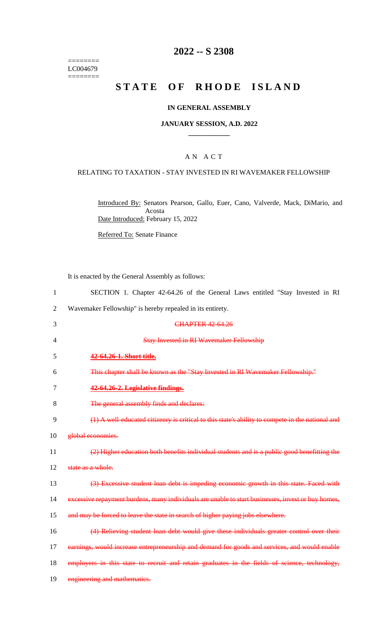======== LC004679  $=$ 

### **2022 -- S 2308**

# **STATE OF RHODE ISLAND**

### **IN GENERAL ASSEMBLY**

#### **JANUARY SESSION, A.D. 2022 \_\_\_\_\_\_\_\_\_\_\_\_**

### A N A C T

#### RELATING TO TAXATION - STAY INVESTED IN RI WAVEMAKER FELLOWSHIP

Introduced By: Senators Pearson, Gallo, Euer, Cano, Valverde, Mack, DiMario, and Acosta Date Introduced: February 15, 2022

Referred To: Senate Finance

It is enacted by the General Assembly as follows:

|  | SECTION 1. Chapter 42-64.26 of the General Laws entitled "Stay Invested in RI |  |  |  |  |  |  |  |  |  |  |
|--|-------------------------------------------------------------------------------|--|--|--|--|--|--|--|--|--|--|
|--|-------------------------------------------------------------------------------|--|--|--|--|--|--|--|--|--|--|

2 Wavemaker Fellowship" is hereby repealed in its entirety.

| 3              | <b>CHAPTER 42 64.26</b>                                                                            |
|----------------|----------------------------------------------------------------------------------------------------|
| $\overline{4}$ | <b>Stay Invested in RI Wavemaker Fellowship</b>                                                    |
| 5              | 42-64.26-1. Short title.                                                                           |
| 6              | This chapter shall be known as the "Stay Invested in RI Wavemaker Fellowship."                     |
| 7              | 42-64.26-2. Legislative findings.                                                                  |
| 8              | The general assembly finds and declares:                                                           |
| 9              | (1) A well-educated citizenry is critical to this state's ability to compete in the national and   |
| 10             | global economies.                                                                                  |
| 11             | (2) Higher education both benefits individual students and is a public good benefitting the        |
| 12             | state as a whole.                                                                                  |
| 13             | (3) Excessive student loan debt is impeding economic growth in this state. Faced with              |
| 14             | excessive repayment burdens, many individuals are unable to start businesses, invest or buy homes, |
| 15             | and may be forced to leave the state in search of higher paying jobs elsewhere.                    |
| 16             | (4) Relieving student loan debt would give these individuals greater control over their            |
| 17             | earnings, would increase entrepreneurship and demand for goods and services, and would enable      |
| 18             | employers in this state to recruit and retain graduates in the fields of science, technology,      |
| 19             | engineering and mathematics.                                                                       |
|                |                                                                                                    |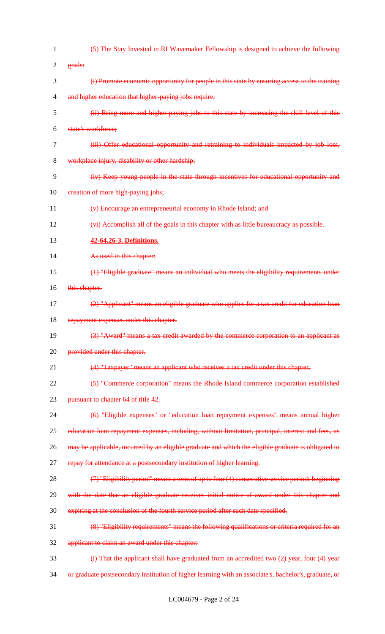| 1              | (5) The Stay Invested in RI Wavemaker Fellowship is designed to achieve the following                  |
|----------------|--------------------------------------------------------------------------------------------------------|
| $\overline{2}$ | goals:                                                                                                 |
| 3              | (i) Promote economic opportunity for people in this state by ensuring access to the training           |
| $\overline{4}$ | and higher education that higher-paying jobs require;                                                  |
| 5              | (ii) Bring more and higher-paying jobs to this state by increasing the skill level of this             |
| 6              | state's workforce;                                                                                     |
| $\tau$         | (iii) Offer educational opportunity and retraining to individuals impacted by job loss,                |
| 8              | workplace injury, disability or other hardship;                                                        |
| 9              | (iv) Keep young people in the state through incentives for educational opportunity and                 |
| 10             | ereation of more high-paying jobs;                                                                     |
| 11             | (v) Encourage an entrepreneurial economy in Rhode Island; and                                          |
| 12             | (vi) Accomplish all of the goals in this chapter with as little bureaucracy as possible.               |
| 13             | 42-64.26-3. Definitions.                                                                               |
| 14             | As used in this chapter:                                                                               |
| 15             | (1) "Eligible graduate" means an individual who meets the eligibility requirements under               |
| 16             | this chapter.                                                                                          |
| 17             | (2) "Applicant" means an eligible graduate who applies for a tax credit for education loan             |
| 18             | repayment expenses under this chapter.                                                                 |
| 19             | (3) "Award" means a tax credit awarded by the commerce corporation to an applicant as                  |
| 20             | provided under this chapter.                                                                           |
| 21             | (4) "Taxpayer" means an applicant who receives a tax credit under this chapter.                        |
| 22             | (5) "Commerce corporation" means the Rhode Island commerce corporation established                     |
| 23             | pursuant to chapter 64 of title 42.                                                                    |
| 24             | (6) "Eligible expenses" or "education loan repayment expenses" means annual higher                     |
| 25             | education loan repayment expenses, including, without limitation, principal, interest and fees, as     |
| 26             | may be applicable, incurred by an eligible graduate and which the eligible graduate is obligated to    |
| 27             | repay for attendance at a postsecondary institution of higher learning.                                |
| 28             | (7) "Eligibility period" means a term of up to four (4) consecutive service periods beginning          |
| 29             | with the date that an eligible graduate receives initial notice of award under this chapter and        |
| 30             | expiring at the conclusion of the fourth service period after such date specified.                     |
| 31             | (8) "Eligibility requirements" means the following qualifications or criteria required for an          |
| 32             | applicant to claim an award under this chapter:                                                        |
| 33             | (i) That the applicant shall have graduated from an accredited two (2) year, four (4) year             |
| 34             | or graduate postsecondary institution of higher learning with an associate's, bachelor's, graduate, or |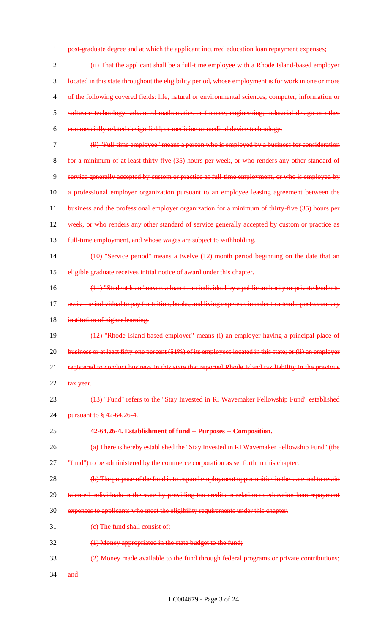1 post-graduate degree and at which the applicant incurred education loan repayment expenses;

 (ii) That the applicant shall be a full-time employee with a Rhode Island-based employer located in this state throughout the eligibility period, whose employment is for work in one or more of the following covered fields: life, natural or environmental sciences; computer, information or software technology; advanced mathematics or finance; engineering; industrial design or other commercially related design field; or medicine or medical device technology.

- (9) "Full-time employee" means a person who is employed by a business for consideration
- for a minimum of at least thirty-five (35) hours per week, or who renders any other standard of service generally accepted by custom or practice as full-time employment, or who is employed by 10 a professional employer organization pursuant to an employee leasing agreement between the 11 business and the professional employer organization for a minimum of thirty-five (35) hours per 12 week, or who renders any other standard of service generally accepted by custom or practice as
- 13 full-time employment, and whose wages are subject to withholding.
- (10) "Service period" means a twelve (12) month period beginning on the date that an eligible graduate receives initial notice of award under this chapter.
- (11) "Student loan" means a loan to an individual by a public authority or private lender to 17 assist the individual to pay for tuition, books, and living expenses in order to attend a postsecondary 18 institution of higher learning.
- (12) "Rhode Island-based employer" means (i) an employer having a principal place of 20 business or at least fifty-one percent (51%) of its employees located in this state; or (ii) an employer registered to conduct business in this state that reported Rhode Island tax liability in the previous 22 tax year.
- (13) "Fund" refers to the "Stay Invested in RI Wavemaker Fellowship Fund" established

**pursuant to § 42-64.26-4.** 

- **42-64.26-4. Establishment of fund -- Purposes -- Composition.**
- (a) There is hereby established the "Stay Invested in RI Wavemaker Fellowship Fund" (the
- 27 "fund") to be administered by the commerce corporation as set forth in this chapter.
- (b) The purpose of the fund is to expand employment opportunities in the state and to retain
- 29 talented individuals in the state by providing tax credits in relation to education loan repayment
- expenses to applicants who meet the eligibility requirements under this chapter.
- (c) The fund shall consist of:
- (1) Money appropriated in the state budget to the fund;
- (2) Money made available to the fund through federal programs or private contributions;
- 34 and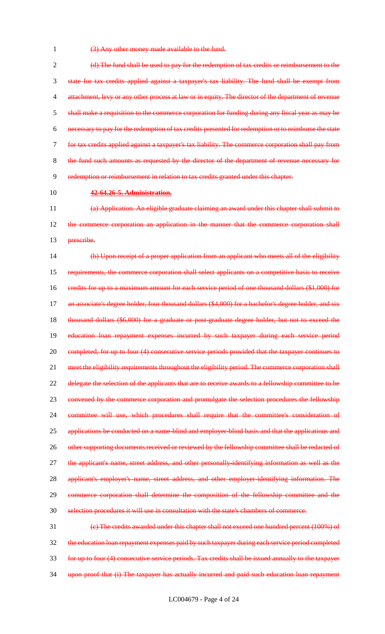1 (3) Any other money made available to the fund.

 (d) The fund shall be used to pay for the redemption of tax credits or reimbursement to the state for tax credits applied against a taxpayer's tax liability. The fund shall be exempt from 4 attachment, levy or any other process at law or in equity. The director of the department of revenue 5 shall make a requisition to the commerce corporation for funding during any fiscal year as may be necessary to pay for the redemption of tax credits presented for redemption or to reimburse the state for tax credits applied against a taxpayer's tax liability. The commerce corporation shall pay from the fund such amounts as requested by the director of the department of revenue necessary for redemption or reimbursement in relation to tax credits granted under this chapter.

### 10 **42-64.26-5. Administration.**

11 (a) Application. An eligible graduate claiming an award under this chapter shall submit to 12 the commerce corporation an application in the manner that the commerce corporation shall 13 <del>prescribe.</del>

14 (b) Upon receipt of a proper application from an applicant who meets all of the eligibility 15 requirements, the commerce corporation shall select applicants on a competitive basis to receive 16 credits for up to a maximum amount for each service period of one thousand dollars (\$1,000) for 17 an associate's degree holder, four thousand dollars (\$4,000) for a bachelor's degree holder, and six 18 thousand dollars (\$6,000) for a graduate or post-graduate degree holder, but not to exceed the 19 education loan repayment expenses incurred by such taxpayer during each service period 20 completed, for up to four (4) consecutive service periods provided that the taxpayer continues to 21 meet the eligibility requirements throughout the eligibility period. The commerce corporation shall 22 delegate the selection of the applicants that are to receive awards to a fellowship committee to be 23 convened by the commerce corporation and promulgate the selection procedures the fellowship 24 committee will use, which procedures shall require that the committee's consideration of 25 applications be conducted on a name-blind and employer-blind basis and that the applications and 26 other supporting documents received or reviewed by the fellowship committee shall be redacted of 27 the applicant's name, street address, and other personally identifying information as well as the 28 applicant's employer's name, street address, and other employer identifying information. The 29 commerce corporation shall determine the composition of the fellowship committee and the 30 selection procedures it will use in consultation with the state's chambers of commerce.

31 (c) The credits awarded under this chapter shall not exceed one hundred percent (100%) of 32 the education loan repayment expenses paid by such taxpayer during each service period completed 33 for up to four (4) consecutive service periods. Tax credits shall be issued annually to the taxpayer 34 upon proof that (i) The taxpayer has actually incurred and paid such education loan repayment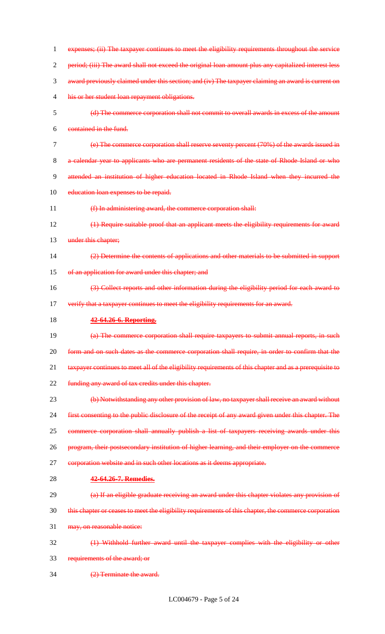1 expenses; (ii) The taxpayer continues to meet the eligibility requirements throughout the service period; (iii) The award shall not exceed the original loan amount plus any capitalized interest less award previously claimed under this section; and (iv) The taxpayer claiming an award is current on his or her student loan repayment obligations. (d) The commerce corporation shall not commit to overall awards in excess of the amount contained in the fund. (e) The commerce corporation shall reserve seventy percent (70%) of the awards issued in a calendar year to applicants who are permanent residents of the state of Rhode Island or who attended an institution of higher education located in Rhode Island when they incurred the 10 education loan expenses to be repaid. (f) In administering award, the commerce corporation shall: (1) Require suitable proof that an applicant meets the eligibility requirements for award 13 under this chapter; (2) Determine the contents of applications and other materials to be submitted in support 15 of an application for award under this chapter; and (3) Collect reports and other information during the eligibility period for each award to 17 verify that a taxpayer continues to meet the eligibility requirements for an award. **42-64.26-6. Reporting.** (a) The commerce corporation shall require taxpayers to submit annual reports, in such form and on such dates as the commerce corporation shall require, in order to confirm that the 21 taxpayer continues to meet all of the eligibility requirements of this chapter and as a prerequisite to 22 funding any award of tax credits under this chapter. (b) Notwithstanding any other provision of law, no taxpayer shall receive an award without first consenting to the public disclosure of the receipt of any award given under this chapter. The 25 commerce corporation shall annually publish a list of taxpayers receiving awards under this 26 program, their postsecondary institution of higher learning, and their employer on the commerce 27 corporation website and in such other locations as it deems appropriate. **42-64.26-7. Remedies.** (a) If an eligible graduate receiving an award under this chapter violates any provision of this chapter or ceases to meet the eligibility requirements of this chapter, the commerce corporation may, on reasonable notice: (1) Withhold further award until the taxpayer complies with the eligibility or other requirements of the award; or (2) Terminate the award.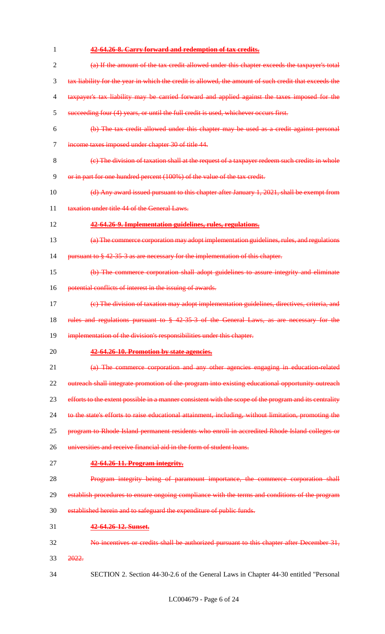| 1              | 42-64.26-8. Carry forward and redemption of tax credits.                                               |  |  |  |
|----------------|--------------------------------------------------------------------------------------------------------|--|--|--|
| $\overline{2}$ | (a) If the amount of the tax credit allowed under this chapter exceeds the taxpayer's total            |  |  |  |
| 3              | tax liability for the year in which the credit is allowed, the amount of such credit that exceeds the  |  |  |  |
| $\overline{4}$ | taxpayer's tax liability may be carried forward and applied against the taxes imposed for the          |  |  |  |
| 5              | succeeding four (4) years, or until the full credit is used, whichever occurs first.                   |  |  |  |
| 6              | (b) The tax credit allowed under this chapter may be used as a credit against personal                 |  |  |  |
| $\tau$         | income taxes imposed under chapter 30 of title 44.                                                     |  |  |  |
| 8              | (e) The division of taxation shall at the request of a taxpayer redeem such credits in whole           |  |  |  |
| 9              | or in part for one hundred percent (100%) of the value of the tax credit.                              |  |  |  |
| 10             | (d) Any award issued pursuant to this chapter after January 1, 2021, shall be exempt from              |  |  |  |
| 11             | taxation under title 44 of the General Laws.                                                           |  |  |  |
| 12             | 42-64.26-9. Implementation guidelines, rules, regulations.                                             |  |  |  |
| 13             | (a) The commerce corporation may adopt implementation guidelines, rules, and regulations               |  |  |  |
| 14             | pursuant to § 42-35-3 as are necessary for the implementation of this chapter.                         |  |  |  |
| 15             | (b) The commerce corporation shall adopt guidelines to assure integrity and eliminate                  |  |  |  |
| 16             | potential conflicts of interest in the issuing of awards.                                              |  |  |  |
| 17             | (e) The division of taxation may adopt implementation guidelines, directives, criteria, and            |  |  |  |
| 18             | rules and regulations pursuant to § 42-35-3 of the General Laws, as are necessary for the              |  |  |  |
| 19             | implementation of the division's responsibilities under this chapter.                                  |  |  |  |
| 20             | 42-64.26-10. Promotion by state agencies.                                                              |  |  |  |
| 21             | (a) The commerce corporation and any other agencies engaging in education related                      |  |  |  |
| 22             | outreach shall integrate promotion of the program into existing educational opportunity outreach       |  |  |  |
| 23             | efforts to the extent possible in a manner consistent with the scope of the program and its centrality |  |  |  |
| 24             | to the state's efforts to raise educational attainment, including, without limitation, promoting the   |  |  |  |
| 25             | program to Rhode Island permanent residents who enroll in accredited Rhode Island colleges or          |  |  |  |
| 26             | universities and receive financial aid in the form of student loans.                                   |  |  |  |
| 27             | 42-64.26-11. Program integrity.                                                                        |  |  |  |
| 28             | Program integrity being of paramount importance, the commerce corporation shall                        |  |  |  |
| 29             | establish procedures to ensure ongoing compliance with the terms and conditions of the program         |  |  |  |
| 30             | established herein and to safeguard the expenditure of public funds.                                   |  |  |  |
| 31             | 42-64.26-12. Sunset.                                                                                   |  |  |  |
| 32             | No incentives or credits shall be authorized pursuant to this chapter after December 31,               |  |  |  |
| 33             | 2022.                                                                                                  |  |  |  |
| 34             | SECTION 2. Section 44-30-2.6 of the General Laws in Chapter 44-30 entitled "Personal                   |  |  |  |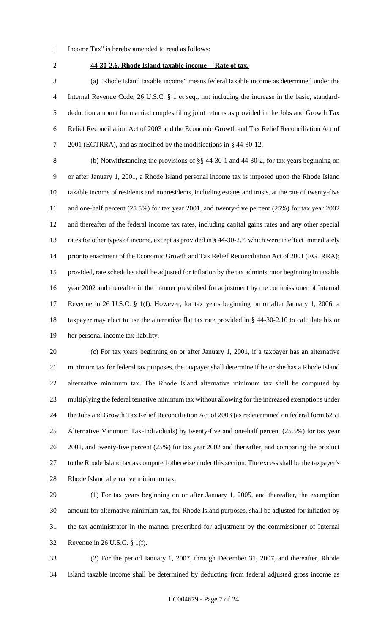- Income Tax" is hereby amended to read as follows:
- 

### **44-30-2.6. Rhode Island taxable income -- Rate of tax.**

 (a) "Rhode Island taxable income" means federal taxable income as determined under the Internal Revenue Code, 26 U.S.C. § 1 et seq., not including the increase in the basic, standard- deduction amount for married couples filing joint returns as provided in the Jobs and Growth Tax Relief Reconciliation Act of 2003 and the Economic Growth and Tax Relief Reconciliation Act of 2001 (EGTRRA), and as modified by the modifications in § 44-30-12.

 (b) Notwithstanding the provisions of §§ 44-30-1 and 44-30-2, for tax years beginning on or after January 1, 2001, a Rhode Island personal income tax is imposed upon the Rhode Island taxable income of residents and nonresidents, including estates and trusts, at the rate of twenty-five and one-half percent (25.5%) for tax year 2001, and twenty-five percent (25%) for tax year 2002 and thereafter of the federal income tax rates, including capital gains rates and any other special rates for other types of income, except as provided in § 44-30-2.7, which were in effect immediately 14 prior to enactment of the Economic Growth and Tax Relief Reconciliation Act of 2001 (EGTRRA); provided, rate schedules shall be adjusted for inflation by the tax administrator beginning in taxable year 2002 and thereafter in the manner prescribed for adjustment by the commissioner of Internal Revenue in 26 U.S.C. § 1(f). However, for tax years beginning on or after January 1, 2006, a taxpayer may elect to use the alternative flat tax rate provided in § 44-30-2.10 to calculate his or her personal income tax liability.

 (c) For tax years beginning on or after January 1, 2001, if a taxpayer has an alternative minimum tax for federal tax purposes, the taxpayer shall determine if he or she has a Rhode Island alternative minimum tax. The Rhode Island alternative minimum tax shall be computed by multiplying the federal tentative minimum tax without allowing for the increased exemptions under the Jobs and Growth Tax Relief Reconciliation Act of 2003 (as redetermined on federal form 6251 Alternative Minimum Tax-Individuals) by twenty-five and one-half percent (25.5%) for tax year 2001, and twenty-five percent (25%) for tax year 2002 and thereafter, and comparing the product to the Rhode Island tax as computed otherwise under this section. The excess shall be the taxpayer's Rhode Island alternative minimum tax.

 (1) For tax years beginning on or after January 1, 2005, and thereafter, the exemption amount for alternative minimum tax, for Rhode Island purposes, shall be adjusted for inflation by the tax administrator in the manner prescribed for adjustment by the commissioner of Internal Revenue in 26 U.S.C. § 1(f).

 (2) For the period January 1, 2007, through December 31, 2007, and thereafter, Rhode Island taxable income shall be determined by deducting from federal adjusted gross income as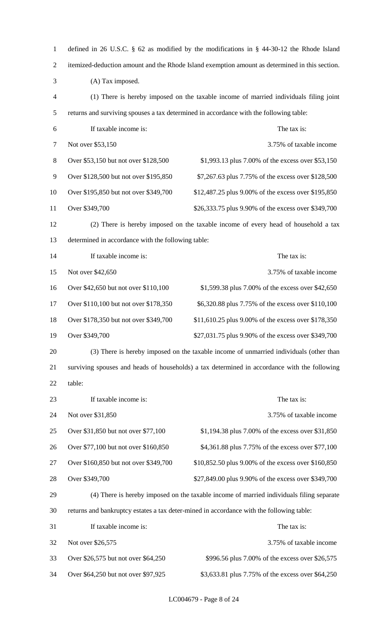| $\mathbf{1}$   | defined in 26 U.S.C. § 62 as modified by the modifications in § 44-30-12 the Rhode Island      |                                                                                          |  |  |
|----------------|------------------------------------------------------------------------------------------------|------------------------------------------------------------------------------------------|--|--|
| $\overline{2}$ | itemized-deduction amount and the Rhode Island exemption amount as determined in this section. |                                                                                          |  |  |
| 3              | (A) Tax imposed.                                                                               |                                                                                          |  |  |
| $\overline{4}$ | (1) There is hereby imposed on the taxable income of married individuals filing joint          |                                                                                          |  |  |
| 5              |                                                                                                | returns and surviving spouses a tax determined in accordance with the following table:   |  |  |
| 6              | If taxable income is:                                                                          | The tax is:                                                                              |  |  |
| 7              | Not over \$53,150                                                                              | 3.75% of taxable income                                                                  |  |  |
| 8              | Over \$53,150 but not over \$128,500                                                           | \$1,993.13 plus 7.00% of the excess over \$53,150                                        |  |  |
| 9              | Over \$128,500 but not over \$195,850                                                          | \$7,267.63 plus 7.75% of the excess over \$128,500                                       |  |  |
| 10             | Over \$195,850 but not over \$349,700                                                          | \$12,487.25 plus 9.00% of the excess over \$195,850                                      |  |  |
| 11             | Over \$349,700                                                                                 | \$26,333.75 plus 9.90% of the excess over \$349,700                                      |  |  |
| 12             |                                                                                                | (2) There is hereby imposed on the taxable income of every head of household a tax       |  |  |
| 13             | determined in accordance with the following table:                                             |                                                                                          |  |  |
| 14             | If taxable income is:                                                                          | The tax is:                                                                              |  |  |
| 15             | Not over \$42,650                                                                              | 3.75% of taxable income                                                                  |  |  |
| 16             | Over \$42,650 but not over \$110,100                                                           | \$1,599.38 plus 7.00% of the excess over \$42,650                                        |  |  |
| 17             | Over \$110,100 but not over \$178,350                                                          | \$6,320.88 plus 7.75% of the excess over \$110,100                                       |  |  |
| 18             | Over \$178,350 but not over \$349,700                                                          | \$11,610.25 plus 9.00% of the excess over \$178,350                                      |  |  |
| 19             | Over \$349,700                                                                                 | \$27,031.75 plus 9.90% of the excess over \$349,700                                      |  |  |
| 20             | (3) There is hereby imposed on the taxable income of unmarried individuals (other than         |                                                                                          |  |  |
| 21             | surviving spouses and heads of households) a tax determined in accordance with the following   |                                                                                          |  |  |
| 22             | table:                                                                                         |                                                                                          |  |  |
| 23             | If taxable income is:                                                                          | The tax is:                                                                              |  |  |
| 24             | Not over \$31,850                                                                              | 3.75% of taxable income                                                                  |  |  |
| 25             | Over \$31,850 but not over \$77,100                                                            | \$1,194.38 plus 7.00% of the excess over \$31,850                                        |  |  |
| 26             | Over \$77,100 but not over \$160,850                                                           | \$4,361.88 plus 7.75% of the excess over \$77,100                                        |  |  |
| 27             | Over \$160,850 but not over \$349,700                                                          | \$10,852.50 plus 9.00% of the excess over \$160,850                                      |  |  |
| 28             | Over \$349,700                                                                                 | \$27,849.00 plus 9.90% of the excess over \$349,700                                      |  |  |
| 29             |                                                                                                | (4) There is hereby imposed on the taxable income of married individuals filing separate |  |  |
| 30             |                                                                                                | returns and bankruptcy estates a tax deter-mined in accordance with the following table: |  |  |
| 31             | If taxable income is:                                                                          | The tax is:                                                                              |  |  |
| 32             | Not over \$26,575                                                                              | 3.75% of taxable income                                                                  |  |  |
| 33             | Over \$26,575 but not over \$64,250                                                            | \$996.56 plus 7.00% of the excess over \$26,575                                          |  |  |
| 34             | Over \$64,250 but not over \$97,925                                                            | \$3,633.81 plus 7.75% of the excess over \$64,250                                        |  |  |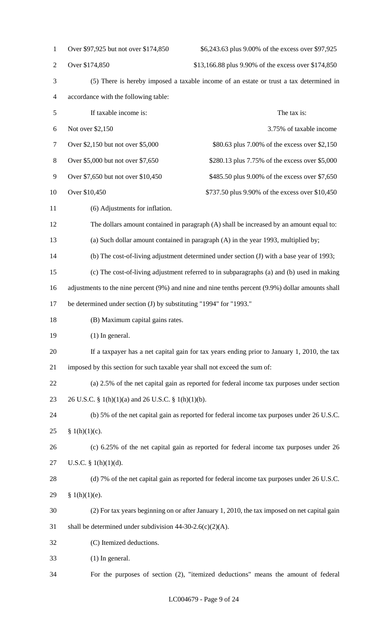| $\mathbf{1}$   | Over \$97,925 but not over \$174,850                                                              | \$6,243.63 plus 9.00% of the excess over \$97,925                                            |  |  |  |
|----------------|---------------------------------------------------------------------------------------------------|----------------------------------------------------------------------------------------------|--|--|--|
| $\overline{2}$ | Over \$174,850                                                                                    | \$13,166.88 plus 9.90% of the excess over \$174,850                                          |  |  |  |
| 3              | (5) There is hereby imposed a taxable income of an estate or trust a tax determined in            |                                                                                              |  |  |  |
| 4              | accordance with the following table:                                                              |                                                                                              |  |  |  |
| 5              | If taxable income is:                                                                             | The tax is:                                                                                  |  |  |  |
| 6              | Not over \$2,150                                                                                  | 3.75% of taxable income                                                                      |  |  |  |
| 7              | Over \$2,150 but not over \$5,000                                                                 | \$80.63 plus 7.00% of the excess over \$2,150                                                |  |  |  |
| $8\,$          | Over \$5,000 but not over \$7,650                                                                 | \$280.13 plus 7.75% of the excess over \$5,000                                               |  |  |  |
| 9              | Over \$7,650 but not over \$10,450                                                                | \$485.50 plus 9.00% of the excess over \$7,650                                               |  |  |  |
| 10             | Over \$10,450                                                                                     | \$737.50 plus 9.90% of the excess over \$10,450                                              |  |  |  |
| 11             | (6) Adjustments for inflation.                                                                    |                                                                                              |  |  |  |
| 12             |                                                                                                   | The dollars amount contained in paragraph (A) shall be increased by an amount equal to:      |  |  |  |
| 13             |                                                                                                   | (a) Such dollar amount contained in paragraph (A) in the year 1993, multiplied by;           |  |  |  |
| 14             |                                                                                                   | (b) The cost-of-living adjustment determined under section (J) with a base year of 1993;     |  |  |  |
| 15             |                                                                                                   | (c) The cost-of-living adjustment referred to in subparagraphs (a) and (b) used in making    |  |  |  |
| 16             | adjustments to the nine percent (9%) and nine and nine tenths percent (9.9%) dollar amounts shall |                                                                                              |  |  |  |
| 17             | be determined under section (J) by substituting "1994" for "1993."                                |                                                                                              |  |  |  |
| 18             | (B) Maximum capital gains rates.                                                                  |                                                                                              |  |  |  |
| 19             | $(1)$ In general.                                                                                 |                                                                                              |  |  |  |
| 20             | If a taxpayer has a net capital gain for tax years ending prior to January 1, 2010, the tax       |                                                                                              |  |  |  |
| 21             | imposed by this section for such taxable year shall not exceed the sum of:                        |                                                                                              |  |  |  |
| 22             | (a) 2.5% of the net capital gain as reported for federal income tax purposes under section        |                                                                                              |  |  |  |
| 23             | 26 U.S.C. § 1(h)(1)(a) and 26 U.S.C. § 1(h)(1)(b).                                                |                                                                                              |  |  |  |
| 24             |                                                                                                   | (b) 5% of the net capital gain as reported for federal income tax purposes under 26 U.S.C.   |  |  |  |
| 25             | § $1(h)(1)(c)$ .                                                                                  |                                                                                              |  |  |  |
| 26             |                                                                                                   | (c) 6.25% of the net capital gain as reported for federal income tax purposes under 26       |  |  |  |
| 27             | U.S.C. $\S$ 1(h)(1)(d).                                                                           |                                                                                              |  |  |  |
| 28             |                                                                                                   | (d) 7% of the net capital gain as reported for federal income tax purposes under 26 U.S.C.   |  |  |  |
| 29             | § 1(h)(1)(e).                                                                                     |                                                                                              |  |  |  |
| 30             |                                                                                                   | (2) For tax years beginning on or after January 1, 2010, the tax imposed on net capital gain |  |  |  |
| 31             | shall be determined under subdivision $44-30-2.6(c)(2)(A)$ .                                      |                                                                                              |  |  |  |
| 32             | (C) Itemized deductions.                                                                          |                                                                                              |  |  |  |
| 33             | $(1)$ In general.                                                                                 |                                                                                              |  |  |  |
| 34             |                                                                                                   | For the purposes of section (2), "itemized deductions" means the amount of federal           |  |  |  |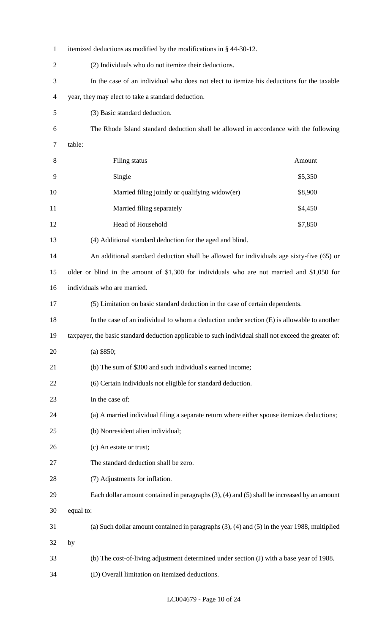| 1              | itemized deductions as modified by the modifications in § 44-30-12.                                   |  |  |  |  |
|----------------|-------------------------------------------------------------------------------------------------------|--|--|--|--|
| $\overline{c}$ | (2) Individuals who do not itemize their deductions.                                                  |  |  |  |  |
| 3              | In the case of an individual who does not elect to itemize his deductions for the taxable             |  |  |  |  |
| 4              | year, they may elect to take a standard deduction.                                                    |  |  |  |  |
| 5              | (3) Basic standard deduction.                                                                         |  |  |  |  |
| 6              | The Rhode Island standard deduction shall be allowed in accordance with the following                 |  |  |  |  |
| 7              | table:                                                                                                |  |  |  |  |
| 8              | Filing status<br>Amount                                                                               |  |  |  |  |
| 9              | Single<br>\$5,350                                                                                     |  |  |  |  |
| 10             | Married filing jointly or qualifying widow(er)<br>\$8,900                                             |  |  |  |  |
| 11             | Married filing separately<br>\$4,450                                                                  |  |  |  |  |
| 12             | Head of Household<br>\$7,850                                                                          |  |  |  |  |
| 13             | (4) Additional standard deduction for the aged and blind.                                             |  |  |  |  |
| 14             | An additional standard deduction shall be allowed for individuals age sixty-five (65) or              |  |  |  |  |
| 15             | older or blind in the amount of \$1,300 for individuals who are not married and \$1,050 for           |  |  |  |  |
| 16             | individuals who are married.                                                                          |  |  |  |  |
| 17             | (5) Limitation on basic standard deduction in the case of certain dependents.                         |  |  |  |  |
| 18             | In the case of an individual to whom a deduction under section $(E)$ is allowable to another          |  |  |  |  |
| 19             | taxpayer, the basic standard deduction applicable to such individual shall not exceed the greater of: |  |  |  |  |
| 20             | $(a)$ \$850;                                                                                          |  |  |  |  |
| 21             | (b) The sum of \$300 and such individual's earned income;                                             |  |  |  |  |
| 22             | (6) Certain individuals not eligible for standard deduction.                                          |  |  |  |  |
| 23             | In the case of:                                                                                       |  |  |  |  |
| 24             | (a) A married individual filing a separate return where either spouse itemizes deductions;            |  |  |  |  |
| 25             | (b) Nonresident alien individual;                                                                     |  |  |  |  |
| 26             | (c) An estate or trust;                                                                               |  |  |  |  |
| 27             | The standard deduction shall be zero.                                                                 |  |  |  |  |
| 28             | (7) Adjustments for inflation.                                                                        |  |  |  |  |
| 29             | Each dollar amount contained in paragraphs $(3)$ , $(4)$ and $(5)$ shall be increased by an amount    |  |  |  |  |
| 30             | equal to:                                                                                             |  |  |  |  |
| 31             | (a) Such dollar amount contained in paragraphs $(3)$ , $(4)$ and $(5)$ in the year 1988, multiplied   |  |  |  |  |
| 32             | by                                                                                                    |  |  |  |  |
| 33             | (b) The cost-of-living adjustment determined under section (J) with a base year of 1988.              |  |  |  |  |
| 34             | (D) Overall limitation on itemized deductions.                                                        |  |  |  |  |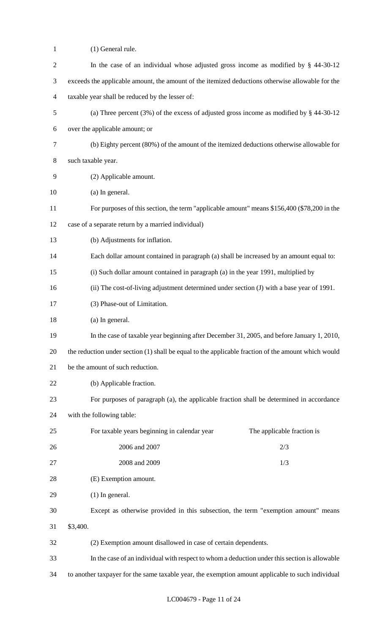| $\mathbf{1}$   | (1) General rule.                                                                                   |  |  |  |  |
|----------------|-----------------------------------------------------------------------------------------------------|--|--|--|--|
| $\overline{2}$ | In the case of an individual whose adjusted gross income as modified by $\S$ 44-30-12               |  |  |  |  |
| 3              | exceeds the applicable amount, the amount of the itemized deductions otherwise allowable for the    |  |  |  |  |
| 4              | taxable year shall be reduced by the lesser of:                                                     |  |  |  |  |
| 5              | (a) Three percent $(3%)$ of the excess of adjusted gross income as modified by § 44-30-12           |  |  |  |  |
| 6              | over the applicable amount; or                                                                      |  |  |  |  |
| 7              | (b) Eighty percent (80%) of the amount of the itemized deductions otherwise allowable for           |  |  |  |  |
| 8              | such taxable year.                                                                                  |  |  |  |  |
| 9              | (2) Applicable amount.                                                                              |  |  |  |  |
| 10             | (a) In general.                                                                                     |  |  |  |  |
| 11             | For purposes of this section, the term "applicable amount" means \$156,400 (\$78,200 in the         |  |  |  |  |
| 12             | case of a separate return by a married individual)                                                  |  |  |  |  |
| 13             | (b) Adjustments for inflation.                                                                      |  |  |  |  |
| 14             | Each dollar amount contained in paragraph (a) shall be increased by an amount equal to:             |  |  |  |  |
| 15             | (i) Such dollar amount contained in paragraph (a) in the year 1991, multiplied by                   |  |  |  |  |
| 16             | (ii) The cost-of-living adjustment determined under section (J) with a base year of 1991.           |  |  |  |  |
| 17             | (3) Phase-out of Limitation.                                                                        |  |  |  |  |
| 18             | (a) In general.                                                                                     |  |  |  |  |
| 19             | In the case of taxable year beginning after December 31, 2005, and before January 1, 2010,          |  |  |  |  |
| 20             | the reduction under section (1) shall be equal to the applicable fraction of the amount which would |  |  |  |  |
| 21             | be the amount of such reduction.                                                                    |  |  |  |  |
| 22             | (b) Applicable fraction.                                                                            |  |  |  |  |
| 23             | For purposes of paragraph (a), the applicable fraction shall be determined in accordance            |  |  |  |  |
| 24             | with the following table:                                                                           |  |  |  |  |
| 25             | For taxable years beginning in calendar year<br>The applicable fraction is                          |  |  |  |  |
| 26             | 2006 and 2007<br>2/3                                                                                |  |  |  |  |
| 27             | 2008 and 2009<br>1/3                                                                                |  |  |  |  |
| 28             | (E) Exemption amount.                                                                               |  |  |  |  |
| 29             | $(1)$ In general.                                                                                   |  |  |  |  |
| 30             | Except as otherwise provided in this subsection, the term "exemption amount" means                  |  |  |  |  |
| 31             | \$3,400.                                                                                            |  |  |  |  |
| 32             | (2) Exemption amount disallowed in case of certain dependents.                                      |  |  |  |  |
| 33             | In the case of an individual with respect to whom a deduction under this section is allowable       |  |  |  |  |
| 34             | to another taxpayer for the same taxable year, the exemption amount applicable to such individual   |  |  |  |  |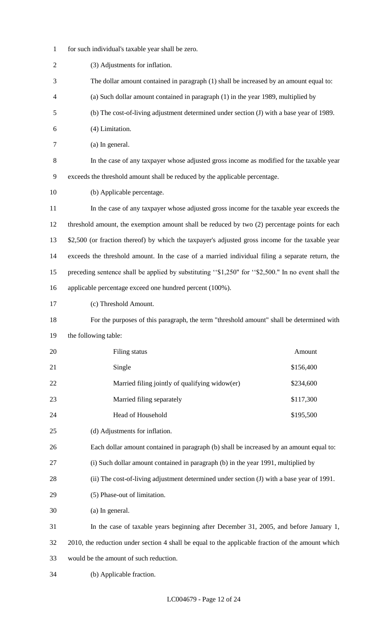- for such individual's taxable year shall be zero.
- (3) Adjustments for inflation. The dollar amount contained in paragraph (1) shall be increased by an amount equal to: (a) Such dollar amount contained in paragraph (1) in the year 1989, multiplied by (b) The cost-of-living adjustment determined under section (J) with a base year of 1989. (4) Limitation. (a) In general. In the case of any taxpayer whose adjusted gross income as modified for the taxable year exceeds the threshold amount shall be reduced by the applicable percentage. (b) Applicable percentage. In the case of any taxpayer whose adjusted gross income for the taxable year exceeds the threshold amount, the exemption amount shall be reduced by two (2) percentage points for each \$2,500 (or fraction thereof) by which the taxpayer's adjusted gross income for the taxable year exceeds the threshold amount. In the case of a married individual filing a separate return, the preceding sentence shall be applied by substituting ''\$1,250" for ''\$2,500." In no event shall the applicable percentage exceed one hundred percent (100%). (c) Threshold Amount. For the purposes of this paragraph, the term "threshold amount" shall be determined with the following table: 20 Filing status **Amount** 21 Single \$156,400 22 Married filing jointly of qualifying widow(er) \$234,600 23 Married filing separately \$117,300 24 Head of Household \$195,500 (d) Adjustments for inflation. Each dollar amount contained in paragraph (b) shall be increased by an amount equal to: (i) Such dollar amount contained in paragraph (b) in the year 1991, multiplied by (ii) The cost-of-living adjustment determined under section (J) with a base year of 1991. (5) Phase-out of limitation. (a) In general. In the case of taxable years beginning after December 31, 2005, and before January 1, 2010, the reduction under section 4 shall be equal to the applicable fraction of the amount which would be the amount of such reduction. (b) Applicable fraction.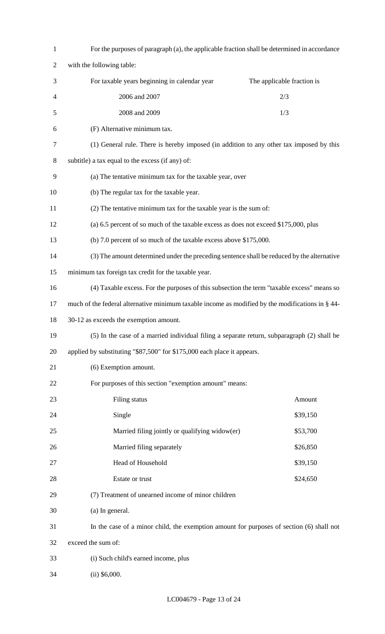| $\mathbf{1}$   | For the purposes of paragraph (a), the applicable fraction shall be determined in accordance     |                            |  |  |  |
|----------------|--------------------------------------------------------------------------------------------------|----------------------------|--|--|--|
| $\overline{2}$ | with the following table:                                                                        |                            |  |  |  |
| 3              | For taxable years beginning in calendar year                                                     | The applicable fraction is |  |  |  |
| 4              | 2006 and 2007                                                                                    | 2/3                        |  |  |  |
| 5              | 2008 and 2009                                                                                    | 1/3                        |  |  |  |
| 6              | (F) Alternative minimum tax.                                                                     |                            |  |  |  |
| $\tau$         | (1) General rule. There is hereby imposed (in addition to any other tax imposed by this          |                            |  |  |  |
| 8              | subtitle) a tax equal to the excess (if any) of:                                                 |                            |  |  |  |
| 9              | (a) The tentative minimum tax for the taxable year, over                                         |                            |  |  |  |
| 10             | (b) The regular tax for the taxable year.                                                        |                            |  |  |  |
| 11             | (2) The tentative minimum tax for the taxable year is the sum of:                                |                            |  |  |  |
| 12             | (a) 6.5 percent of so much of the taxable excess as does not exceed \$175,000, plus              |                            |  |  |  |
| 13             | (b) 7.0 percent of so much of the taxable excess above \$175,000.                                |                            |  |  |  |
| 14             | (3) The amount determined under the preceding sentence shall be reduced by the alternative       |                            |  |  |  |
| 15             | minimum tax foreign tax credit for the taxable year.                                             |                            |  |  |  |
| 16             | (4) Taxable excess. For the purposes of this subsection the term "taxable excess" means so       |                            |  |  |  |
| 17             | much of the federal alternative minimum taxable income as modified by the modifications in § 44- |                            |  |  |  |
| 18             | 30-12 as exceeds the exemption amount.                                                           |                            |  |  |  |
| 19             | (5) In the case of a married individual filing a separate return, subparagraph (2) shall be      |                            |  |  |  |
| 20             | applied by substituting "\$87,500" for \$175,000 each place it appears.                          |                            |  |  |  |
| 21             | (6) Exemption amount.                                                                            |                            |  |  |  |
| 22             | For purposes of this section "exemption amount" means:                                           |                            |  |  |  |
| 23             | Filing status                                                                                    | Amount                     |  |  |  |
| 24             | Single                                                                                           | \$39,150                   |  |  |  |
| 25             | Married filing jointly or qualifying widow(er)                                                   | \$53,700                   |  |  |  |
| 26             | Married filing separately                                                                        | \$26,850                   |  |  |  |
| 27             | Head of Household<br>\$39,150                                                                    |                            |  |  |  |
| 28             | Estate or trust                                                                                  | \$24,650                   |  |  |  |
| 29             | (7) Treatment of unearned income of minor children                                               |                            |  |  |  |
| 30             | (a) In general.                                                                                  |                            |  |  |  |
| 31             | In the case of a minor child, the exemption amount for purposes of section (6) shall not         |                            |  |  |  |
| 32             | exceed the sum of:                                                                               |                            |  |  |  |
| 33             | (i) Such child's earned income, plus                                                             |                            |  |  |  |
| 34             | $(ii)$ \$6,000.                                                                                  |                            |  |  |  |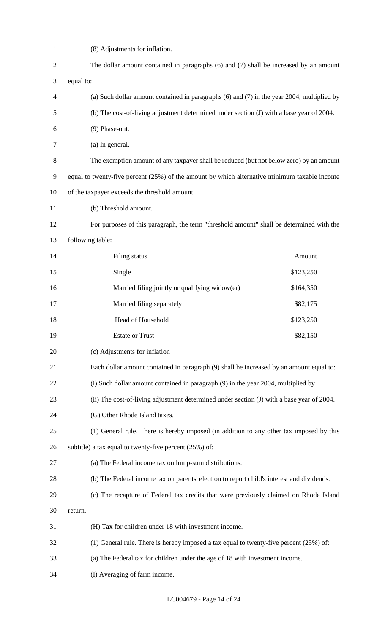| $\mathbf{1}$   | (8) Adjustments for inflation.                                                                 |           |  |  |  |  |
|----------------|------------------------------------------------------------------------------------------------|-----------|--|--|--|--|
| $\overline{c}$ | The dollar amount contained in paragraphs (6) and (7) shall be increased by an amount          |           |  |  |  |  |
| 3              | equal to:                                                                                      |           |  |  |  |  |
| 4              | (a) Such dollar amount contained in paragraphs $(6)$ and $(7)$ in the year 2004, multiplied by |           |  |  |  |  |
| 5              | (b) The cost-of-living adjustment determined under section (J) with a base year of 2004.       |           |  |  |  |  |
| 6              | (9) Phase-out.                                                                                 |           |  |  |  |  |
| 7              | (a) In general.                                                                                |           |  |  |  |  |
| 8              | The exemption amount of any taxpayer shall be reduced (but not below zero) by an amount        |           |  |  |  |  |
| 9              | equal to twenty-five percent (25%) of the amount by which alternative minimum taxable income   |           |  |  |  |  |
| 10             | of the taxpayer exceeds the threshold amount.                                                  |           |  |  |  |  |
| 11             | (b) Threshold amount.                                                                          |           |  |  |  |  |
| 12             | For purposes of this paragraph, the term "threshold amount" shall be determined with the       |           |  |  |  |  |
| 13             | following table:                                                                               |           |  |  |  |  |
| 14             | Filing status                                                                                  | Amount    |  |  |  |  |
| 15             | Single                                                                                         | \$123,250 |  |  |  |  |
| 16             | Married filing jointly or qualifying widow(er)<br>\$164,350                                    |           |  |  |  |  |
| 17             | Married filing separately                                                                      | \$82,175  |  |  |  |  |
| 18             | Head of Household                                                                              | \$123,250 |  |  |  |  |
| 19             | <b>Estate or Trust</b>                                                                         | \$82,150  |  |  |  |  |
| 20             | (c) Adjustments for inflation                                                                  |           |  |  |  |  |
| 21             | Each dollar amount contained in paragraph (9) shall be increased by an amount equal to:        |           |  |  |  |  |
| 22             | (i) Such dollar amount contained in paragraph (9) in the year 2004, multiplied by              |           |  |  |  |  |
| 23             | (ii) The cost-of-living adjustment determined under section (J) with a base year of 2004.      |           |  |  |  |  |
| 24             | (G) Other Rhode Island taxes.                                                                  |           |  |  |  |  |
| 25             | (1) General rule. There is hereby imposed (in addition to any other tax imposed by this        |           |  |  |  |  |
| 26             | subtitle) a tax equal to twenty-five percent $(25%)$ of:                                       |           |  |  |  |  |
| 27             | (a) The Federal income tax on lump-sum distributions.                                          |           |  |  |  |  |
| 28             | (b) The Federal income tax on parents' election to report child's interest and dividends.      |           |  |  |  |  |
| 29             | (c) The recapture of Federal tax credits that were previously claimed on Rhode Island          |           |  |  |  |  |
| 30             | return.                                                                                        |           |  |  |  |  |
| 31             | (H) Tax for children under 18 with investment income.                                          |           |  |  |  |  |
| 32             | (1) General rule. There is hereby imposed a tax equal to twenty-five percent $(25%)$ of:       |           |  |  |  |  |
| 33             | (a) The Federal tax for children under the age of 18 with investment income.                   |           |  |  |  |  |
| 34             | (I) Averaging of farm income.                                                                  |           |  |  |  |  |

LC004679 - Page 14 of 24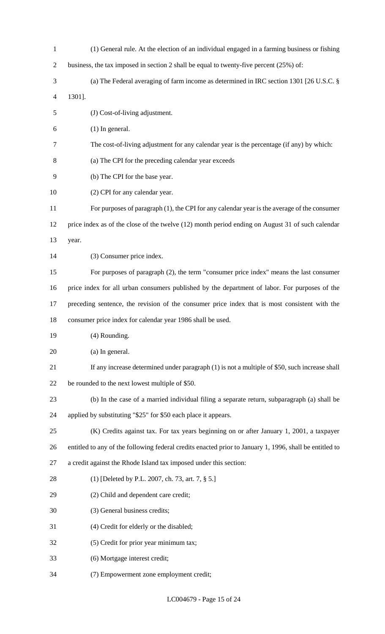| $\mathbf{1}$   | (1) General rule. At the election of an individual engaged in a farming business or fishing             |  |  |  |
|----------------|---------------------------------------------------------------------------------------------------------|--|--|--|
| $\overline{c}$ | business, the tax imposed in section 2 shall be equal to twenty-five percent $(25%)$ of:                |  |  |  |
| 3              | (a) The Federal averaging of farm income as determined in IRC section 1301 [26 U.S.C. $\S$              |  |  |  |
| 4              | 1301].                                                                                                  |  |  |  |
| 5              | (J) Cost-of-living adjustment.                                                                          |  |  |  |
| 6              | $(1)$ In general.                                                                                       |  |  |  |
| $\tau$         | The cost-of-living adjustment for any calendar year is the percentage (if any) by which:                |  |  |  |
| 8              | (a) The CPI for the preceding calendar year exceeds                                                     |  |  |  |
| 9              | (b) The CPI for the base year.                                                                          |  |  |  |
| 10             | (2) CPI for any calendar year.                                                                          |  |  |  |
| 11             | For purposes of paragraph (1), the CPI for any calendar year is the average of the consumer             |  |  |  |
| 12             | price index as of the close of the twelve (12) month period ending on August 31 of such calendar        |  |  |  |
| 13             | year.                                                                                                   |  |  |  |
| 14             | (3) Consumer price index.                                                                               |  |  |  |
| 15             | For purposes of paragraph (2), the term "consumer price index" means the last consumer                  |  |  |  |
| 16             | price index for all urban consumers published by the department of labor. For purposes of the           |  |  |  |
| 17             | preceding sentence, the revision of the consumer price index that is most consistent with the           |  |  |  |
|                |                                                                                                         |  |  |  |
| 18             | consumer price index for calendar year 1986 shall be used.                                              |  |  |  |
| 19             | (4) Rounding.                                                                                           |  |  |  |
| 20             | (a) In general.                                                                                         |  |  |  |
| 21             | If any increase determined under paragraph (1) is not a multiple of \$50, such increase shall           |  |  |  |
| 22             | be rounded to the next lowest multiple of \$50.                                                         |  |  |  |
| 23             | (b) In the case of a married individual filing a separate return, subparagraph (a) shall be             |  |  |  |
| 24             | applied by substituting "\$25" for \$50 each place it appears.                                          |  |  |  |
| 25             | (K) Credits against tax. For tax years beginning on or after January 1, 2001, a taxpayer                |  |  |  |
| 26             | entitled to any of the following federal credits enacted prior to January 1, 1996, shall be entitled to |  |  |  |
| 27             | a credit against the Rhode Island tax imposed under this section:                                       |  |  |  |
| 28             | (1) [Deleted by P.L. 2007, ch. 73, art. 7, § 5.]                                                        |  |  |  |
| 29             | (2) Child and dependent care credit;                                                                    |  |  |  |
| 30             | (3) General business credits;                                                                           |  |  |  |
| 31             | (4) Credit for elderly or the disabled;                                                                 |  |  |  |
| 32             | (5) Credit for prior year minimum tax;                                                                  |  |  |  |
| 33             | (6) Mortgage interest credit;                                                                           |  |  |  |

LC004679 - Page 15 of 24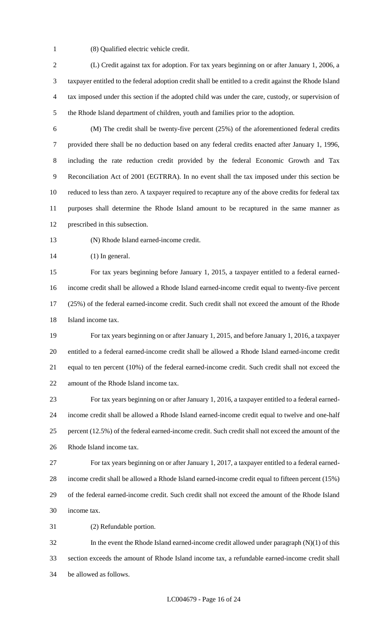(8) Qualified electric vehicle credit.

 (L) Credit against tax for adoption. For tax years beginning on or after January 1, 2006, a taxpayer entitled to the federal adoption credit shall be entitled to a credit against the Rhode Island tax imposed under this section if the adopted child was under the care, custody, or supervision of the Rhode Island department of children, youth and families prior to the adoption.

 (M) The credit shall be twenty-five percent (25%) of the aforementioned federal credits provided there shall be no deduction based on any federal credits enacted after January 1, 1996, including the rate reduction credit provided by the federal Economic Growth and Tax Reconciliation Act of 2001 (EGTRRA). In no event shall the tax imposed under this section be reduced to less than zero. A taxpayer required to recapture any of the above credits for federal tax purposes shall determine the Rhode Island amount to be recaptured in the same manner as prescribed in this subsection.

(N) Rhode Island earned-income credit.

14 (1) In general.

 For tax years beginning before January 1, 2015, a taxpayer entitled to a federal earned- income credit shall be allowed a Rhode Island earned-income credit equal to twenty-five percent (25%) of the federal earned-income credit. Such credit shall not exceed the amount of the Rhode Island income tax.

 For tax years beginning on or after January 1, 2015, and before January 1, 2016, a taxpayer entitled to a federal earned-income credit shall be allowed a Rhode Island earned-income credit equal to ten percent (10%) of the federal earned-income credit. Such credit shall not exceed the amount of the Rhode Island income tax.

 For tax years beginning on or after January 1, 2016, a taxpayer entitled to a federal earned- income credit shall be allowed a Rhode Island earned-income credit equal to twelve and one-half percent (12.5%) of the federal earned-income credit. Such credit shall not exceed the amount of the Rhode Island income tax.

 For tax years beginning on or after January 1, 2017, a taxpayer entitled to a federal earned- income credit shall be allowed a Rhode Island earned-income credit equal to fifteen percent (15%) of the federal earned-income credit. Such credit shall not exceed the amount of the Rhode Island income tax.

(2) Refundable portion.

 In the event the Rhode Island earned-income credit allowed under paragraph (N)(1) of this section exceeds the amount of Rhode Island income tax, a refundable earned-income credit shall be allowed as follows.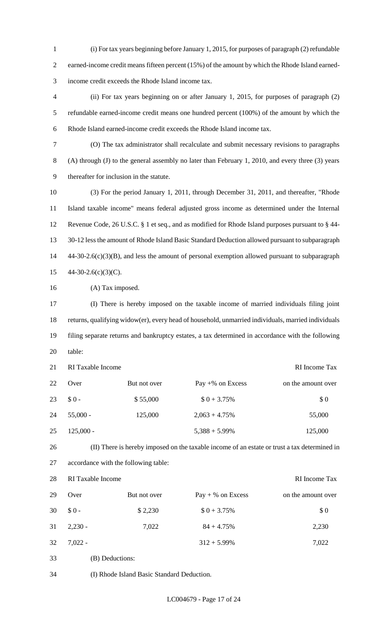(i) For tax years beginning before January 1, 2015, for purposes of paragraph (2) refundable earned-income credit means fifteen percent (15%) of the amount by which the Rhode Island earned-income credit exceeds the Rhode Island income tax.

 (ii) For tax years beginning on or after January 1, 2015, for purposes of paragraph (2) refundable earned-income credit means one hundred percent (100%) of the amount by which the Rhode Island earned-income credit exceeds the Rhode Island income tax.

 (O) The tax administrator shall recalculate and submit necessary revisions to paragraphs (A) through (J) to the general assembly no later than February 1, 2010, and every three (3) years thereafter for inclusion in the statute.

 (3) For the period January 1, 2011, through December 31, 2011, and thereafter, "Rhode Island taxable income" means federal adjusted gross income as determined under the Internal Revenue Code, 26 U.S.C. § 1 et seq., and as modified for Rhode Island purposes pursuant to § 44- 30-12 less the amount of Rhode Island Basic Standard Deduction allowed pursuant to subparagraph 44-30-2.6(c)(3)(B), and less the amount of personal exemption allowed pursuant to subparagraph  $44-30-2.6(c)(3)(C)$ .

16 (A) Tax imposed.

 (I) There is hereby imposed on the taxable income of married individuals filing joint returns, qualifying widow(er), every head of household, unmarried individuals, married individuals filing separate returns and bankruptcy estates, a tax determined in accordance with the following table:

| 21 | RI Taxable Income |              |                     | RI Income Tax      |  |  |
|----|-------------------|--------------|---------------------|--------------------|--|--|
| 22 | Over              | But not over | Pay $+$ % on Excess | on the amount over |  |  |
| 23 | $$0-$             | \$55,000     | $$0 + 3.75\%$       | \$0                |  |  |
| 24 | $55,000 -$        | 125,000      | $2,063 + 4.75\%$    | 55,000             |  |  |
| 25 | $125,000 -$       |              | $5,388 + 5.99\%$    | 125,000            |  |  |

(II) There is hereby imposed on the taxable income of an estate or trust a tax determined in

accordance with the following table:

| 28 | RI Taxable Income |              |                     | RI Income Tax      |
|----|-------------------|--------------|---------------------|--------------------|
| 29 | Over              | But not over | $Pay + % on Excess$ | on the amount over |
| 30 | $$0-$             | \$2,230      | $$0 + 3.75\%$       | \$0                |
| 31 | $2,230 -$         | 7,022        | $84 + 4.75%$        | 2,230              |
| 32 | $7,022 -$         |              | $312 + 5.99\%$      | 7,022              |

(B) Deductions:

(I) Rhode Island Basic Standard Deduction.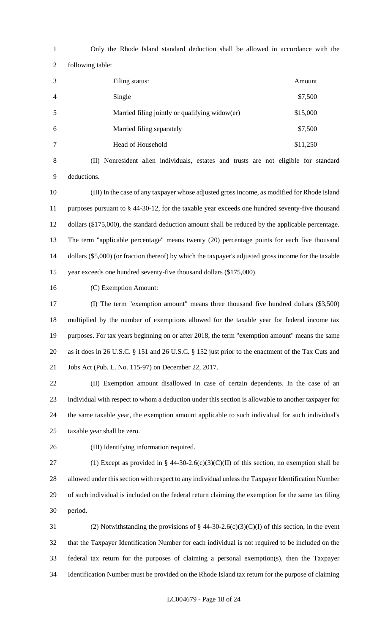Only the Rhode Island standard deduction shall be allowed in accordance with the following table: Filing status: Amount

| 4 | Single                                         | \$7,500  |
|---|------------------------------------------------|----------|
| 5 | Married filing jointly or qualifying widow(er) | \$15,000 |
| 6 | Married filing separately                      | \$7,500  |
|   | Head of Household                              | \$11,250 |

 (II) Nonresident alien individuals, estates and trusts are not eligible for standard deductions.

 (III) In the case of any taxpayer whose adjusted gross income, as modified for Rhode Island purposes pursuant to § 44-30-12, for the taxable year exceeds one hundred seventy-five thousand 12 dollars (\$175,000), the standard deduction amount shall be reduced by the applicable percentage. The term "applicable percentage" means twenty (20) percentage points for each five thousand dollars (\$5,000) (or fraction thereof) by which the taxpayer's adjusted gross income for the taxable year exceeds one hundred seventy-five thousand dollars (\$175,000).

(C) Exemption Amount:

 (I) The term "exemption amount" means three thousand five hundred dollars (\$3,500) multiplied by the number of exemptions allowed for the taxable year for federal income tax purposes. For tax years beginning on or after 2018, the term "exemption amount" means the same as it does in 26 U.S.C. § 151 and 26 U.S.C. § 152 just prior to the enactment of the Tax Cuts and Jobs Act (Pub. L. No. 115-97) on December 22, 2017.

 (II) Exemption amount disallowed in case of certain dependents. In the case of an individual with respect to whom a deduction under this section is allowable to another taxpayer for the same taxable year, the exemption amount applicable to such individual for such individual's taxable year shall be zero.

(III) Identifying information required.

27 (1) Except as provided in § 44-30-2.6(c)(3)(C)(II) of this section, no exemption shall be allowed under this section with respect to any individual unless the Taxpayer Identification Number of such individual is included on the federal return claiming the exemption for the same tax filing period.

31 (2) Notwithstanding the provisions of  $§$  44-30-2.6(c)(3)(C)(I) of this section, in the event that the Taxpayer Identification Number for each individual is not required to be included on the federal tax return for the purposes of claiming a personal exemption(s), then the Taxpayer Identification Number must be provided on the Rhode Island tax return for the purpose of claiming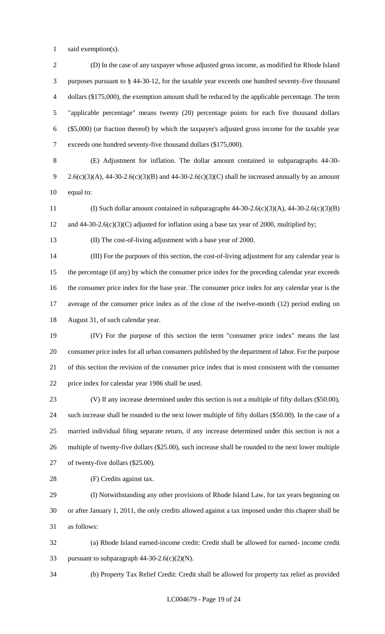1 said exemption(s).

 (D) In the case of any taxpayer whose adjusted gross income, as modified for Rhode Island purposes pursuant to § 44-30-12, for the taxable year exceeds one hundred seventy-five thousand dollars (\$175,000), the exemption amount shall be reduced by the applicable percentage. The term "applicable percentage" means twenty (20) percentage points for each five thousand dollars (\$5,000) (or fraction thereof) by which the taxpayer's adjusted gross income for the taxable year exceeds one hundred seventy-five thousand dollars (\$175,000).

 (E) Adjustment for inflation. The dollar amount contained in subparagraphs 44-30- 9 2.6(c)(3)(A), 44-30-2.6(c)(3)(B) and 44-30-2.6(c)(3)(C) shall be increased annually by an amount equal to:

11 (I) Such dollar amount contained in subparagraphs  $44-30-2.6(c)(3)(A)$ ,  $44-30-2.6(c)(3)(B)$ 12 and 44-30-2.6(c)(3)(C) adjusted for inflation using a base tax year of 2000, multiplied by;

(II) The cost-of-living adjustment with a base year of 2000.

 (III) For the purposes of this section, the cost-of-living adjustment for any calendar year is the percentage (if any) by which the consumer price index for the preceding calendar year exceeds the consumer price index for the base year. The consumer price index for any calendar year is the average of the consumer price index as of the close of the twelve-month (12) period ending on August 31, of such calendar year.

 (IV) For the purpose of this section the term "consumer price index" means the last consumer price index for all urban consumers published by the department of labor. For the purpose of this section the revision of the consumer price index that is most consistent with the consumer price index for calendar year 1986 shall be used.

 (V) If any increase determined under this section is not a multiple of fifty dollars (\$50.00), such increase shall be rounded to the next lower multiple of fifty dollars (\$50.00). In the case of a married individual filing separate return, if any increase determined under this section is not a multiple of twenty-five dollars (\$25.00), such increase shall be rounded to the next lower multiple of twenty-five dollars (\$25.00).

(F) Credits against tax.

 (I) Notwithstanding any other provisions of Rhode Island Law, for tax years beginning on or after January 1, 2011, the only credits allowed against a tax imposed under this chapter shall be as follows:

 (a) Rhode Island earned-income credit: Credit shall be allowed for earned- income credit 33 pursuant to subparagraph  $44-30-2.6(c)(2)(N)$ .

(b) Property Tax Relief Credit: Credit shall be allowed for property tax relief as provided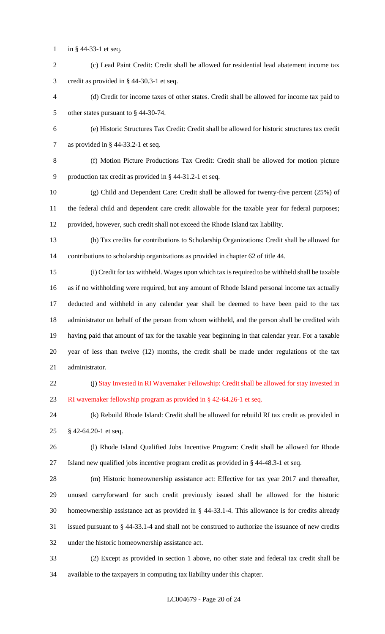- in § 44-33-1 et seq.
- (c) Lead Paint Credit: Credit shall be allowed for residential lead abatement income tax credit as provided in § 44-30.3-1 et seq.

 (d) Credit for income taxes of other states. Credit shall be allowed for income tax paid to other states pursuant to § 44-30-74.

- (e) Historic Structures Tax Credit: Credit shall be allowed for historic structures tax credit as provided in § 44-33.2-1 et seq.
- 

 (f) Motion Picture Productions Tax Credit: Credit shall be allowed for motion picture production tax credit as provided in § 44-31.2-1 et seq.

- (g) Child and Dependent Care: Credit shall be allowed for twenty-five percent (25%) of the federal child and dependent care credit allowable for the taxable year for federal purposes; provided, however, such credit shall not exceed the Rhode Island tax liability.
- (h) Tax credits for contributions to Scholarship Organizations: Credit shall be allowed for contributions to scholarship organizations as provided in chapter 62 of title 44.
- (i) Credit for tax withheld. Wages upon which tax is required to be withheld shall be taxable as if no withholding were required, but any amount of Rhode Island personal income tax actually deducted and withheld in any calendar year shall be deemed to have been paid to the tax administrator on behalf of the person from whom withheld, and the person shall be credited with having paid that amount of tax for the taxable year beginning in that calendar year. For a taxable year of less than twelve (12) months, the credit shall be made under regulations of the tax administrator.
- 

22 (j) Stay Invested in RI Wavemaker Fellowship: Credit shall be allowed for stay invested in 23 RI wavemaker fellowship program as provided in § 42-64.26-1 et seq.

 (k) Rebuild Rhode Island: Credit shall be allowed for rebuild RI tax credit as provided in § 42-64.20-1 et seq.

 (l) Rhode Island Qualified Jobs Incentive Program: Credit shall be allowed for Rhode Island new qualified jobs incentive program credit as provided in § 44-48.3-1 et seq.

 (m) Historic homeownership assistance act: Effective for tax year 2017 and thereafter, unused carryforward for such credit previously issued shall be allowed for the historic homeownership assistance act as provided in § 44-33.1-4. This allowance is for credits already issued pursuant to § 44-33.1-4 and shall not be construed to authorize the issuance of new credits under the historic homeownership assistance act.

 (2) Except as provided in section 1 above, no other state and federal tax credit shall be available to the taxpayers in computing tax liability under this chapter.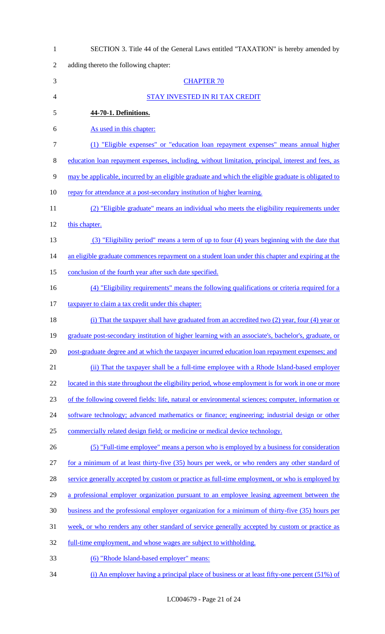| $\mathbf{1}$   | SECTION 3. Title 44 of the General Laws entitled "TAXATION" is hereby amended by                     |  |  |
|----------------|------------------------------------------------------------------------------------------------------|--|--|
| $\overline{2}$ | adding thereto the following chapter:                                                                |  |  |
| 3              | <b>CHAPTER 70</b>                                                                                    |  |  |
| $\overline{4}$ | STAY INVESTED IN RI TAX CREDIT                                                                       |  |  |
| 5              | 44-70-1. Definitions.                                                                                |  |  |
| 6              | As used in this chapter:                                                                             |  |  |
| $\overline{7}$ | (1) "Eligible expenses" or "education loan repayment expenses" means annual higher                   |  |  |
| $8\,$          | education loan repayment expenses, including, without limitation, principal, interest and fees, as   |  |  |
| 9              | may be applicable, incurred by an eligible graduate and which the eligible graduate is obligated to  |  |  |
| 10             | repay for attendance at a post-secondary institution of higher learning.                             |  |  |
| 11             | (2) "Eligible graduate" means an individual who meets the eligibility requirements under             |  |  |
| 12             | this chapter.                                                                                        |  |  |
| 13             | (3) "Eligibility period" means a term of up to four (4) years beginning with the date that           |  |  |
| 14             | an eligible graduate commences repayment on a student loan under this chapter and expiring at the    |  |  |
| 15             | conclusion of the fourth year after such date specified.                                             |  |  |
| 16             | (4) "Eligibility requirements" means the following qualifications or criteria required for a         |  |  |
| 17             | taxpayer to claim a tax credit under this chapter:                                                   |  |  |
| 18             | (i) That the taxpayer shall have graduated from an accredited two (2) year, four (4) year or         |  |  |
| 19             | graduate post-secondary institution of higher learning with an associate's, bachelor's, graduate, or |  |  |
| 20             | post-graduate degree and at which the taxpayer incurred education loan repayment expenses; and       |  |  |
| 21             | (ii) That the taxpayer shall be a full-time employee with a Rhode Island-based employer              |  |  |
| 22             | located in this state throughout the eligibility period, whose employment is for work in one or more |  |  |
| 23             | of the following covered fields: life, natural or environmental sciences; computer, information or   |  |  |
| 24             | software technology; advanced mathematics or finance; engineering; industrial design or other        |  |  |
| 25             | commercially related design field; or medicine or medical device technology.                         |  |  |
| 26             | (5) "Full-time employee" means a person who is employed by a business for consideration              |  |  |
| 27             | for a minimum of at least thirty-five (35) hours per week, or who renders any other standard of      |  |  |
| 28             | service generally accepted by custom or practice as full-time employment, or who is employed by      |  |  |
| 29             | a professional employer organization pursuant to an employee leasing agreement between the           |  |  |
| 30             | business and the professional employer organization for a minimum of thirty-five (35) hours per      |  |  |
| 31             | week, or who renders any other standard of service generally accepted by custom or practice as       |  |  |
| 32             | full-time employment, and whose wages are subject to withholding.                                    |  |  |
| 33             | (6) "Rhode Island-based employer" means:                                                             |  |  |
| 34             | (i) An employer having a principal place of business or at least fifty-one percent $(51\%)$ of       |  |  |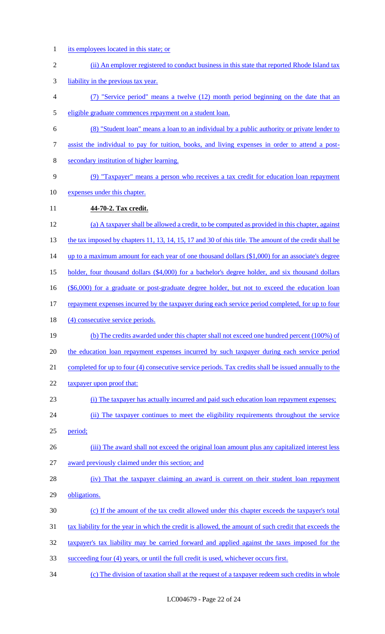- its employees located in this state; or
- 2 (ii) An employer registered to conduct business in this state that reported Rhode Island tax liability in the previous tax year. (7) "Service period" means a twelve (12) month period beginning on the date that an eligible graduate commences repayment on a student loan. (8) "Student loan" means a loan to an individual by a public authority or private lender to assist the individual to pay for tuition, books, and living expenses in order to attend a post- secondary institution of higher learning. (9) "Taxpayer" means a person who receives a tax credit for education loan repayment expenses under this chapter. **44-70-2. Tax credit.**  (a) A taxpayer shall be allowed a credit, to be computed as provided in this chapter, against 13 the tax imposed by chapters 11, 13, 14, 15, 17 and 30 of this title. The amount of the credit shall be 14 up to a maximum amount for each year of one thousand dollars (\$1,000) for an associate's degree holder, four thousand dollars (\$4,000) for a bachelor's degree holder, and six thousand dollars (\$6,000) for a graduate or post-graduate degree holder, but not to exceed the education loan repayment expenses incurred by the taxpayer during each service period completed, for up to four 18 (4) consecutive service periods. (b) The credits awarded under this chapter shall not exceed one hundred percent (100%) of the education loan repayment expenses incurred by such taxpayer during each service period completed for up to four (4) consecutive service periods. Tax credits shall be issued annually to the 22 taxpayer upon proof that: (i) The taxpayer has actually incurred and paid such education loan repayment expenses; 24 (ii) The taxpayer continues to meet the eligibility requirements throughout the service period; 26 (iii) The award shall not exceed the original loan amount plus any capitalized interest less award previously claimed under this section; and (iv) That the taxpayer claiming an award is current on their student loan repayment obligations. (c) If the amount of the tax credit allowed under this chapter exceeds the taxpayer's total tax liability for the year in which the credit is allowed, the amount of such credit that exceeds the taxpayer's tax liability may be carried forward and applied against the taxes imposed for the succeeding four (4) years, or until the full credit is used, whichever occurs first. (c) The division of taxation shall at the request of a taxpayer redeem such credits in whole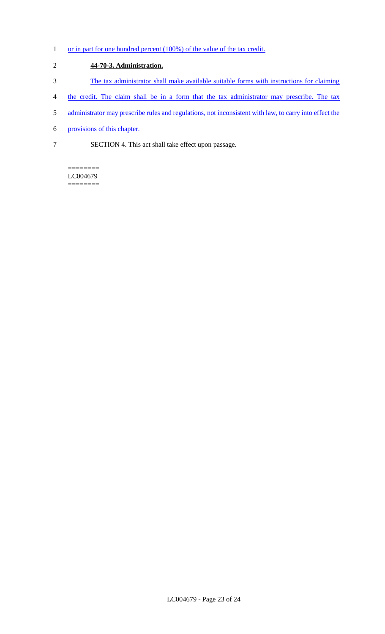1 or in part for one hundred percent (100%) of the value of the tax credit.

# 2 **44-70-3. Administration.**

- 3 The tax administrator shall make available suitable forms with instructions for claiming
- 4 the credit. The claim shall be in a form that the tax administrator may prescribe. The tax
- 5 administrator may prescribe rules and regulations, not inconsistent with law, to carry into effect the
- 6 provisions of this chapter.
- 7 SECTION 4. This act shall take effect upon passage.

======== LC004679 ========